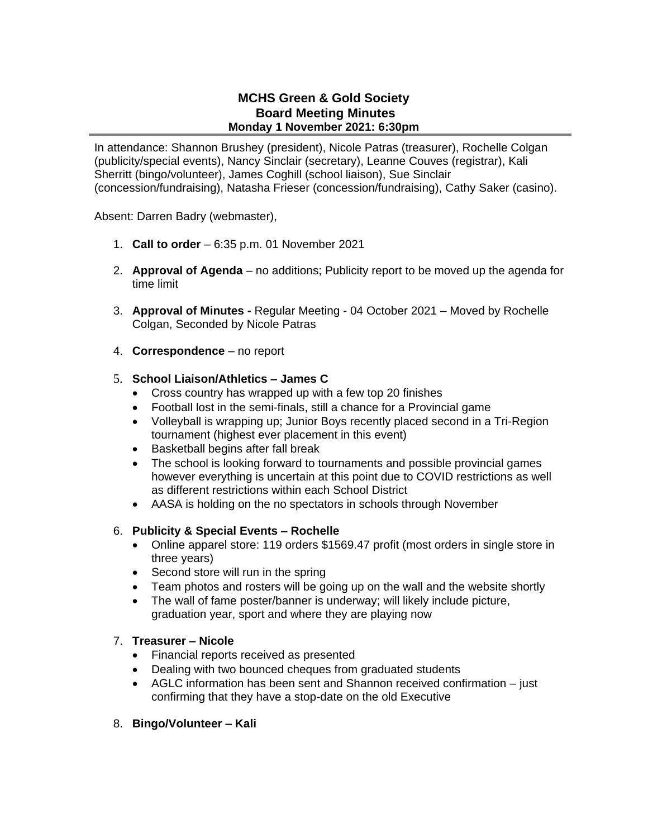# **MCHS Green & Gold Society Board Meeting Minutes Monday 1 November 2021: 6:30pm**

In attendance: Shannon Brushey (president), Nicole Patras (treasurer), Rochelle Colgan (publicity/special events), Nancy Sinclair (secretary), Leanne Couves (registrar), Kali Sherritt (bingo/volunteer), James Coghill (school liaison), Sue Sinclair (concession/fundraising), Natasha Frieser (concession/fundraising), Cathy Saker (casino).

Absent: Darren Badry (webmaster),

- 1. **Call to order** 6:35 p.m. 01 November 2021
- 2. **Approval of Agenda** no additions; Publicity report to be moved up the agenda for time limit
- 3. **Approval of Minutes -** Regular Meeting 04 October 2021 Moved by Rochelle Colgan, Seconded by Nicole Patras
- 4. **Correspondence** no report

### 5. **School Liaison/Athletics – James C**

- Cross country has wrapped up with a few top 20 finishes
- Football lost in the semi-finals, still a chance for a Provincial game
- Volleyball is wrapping up; Junior Boys recently placed second in a Tri-Region tournament (highest ever placement in this event)
- Basketball begins after fall break
- The school is looking forward to tournaments and possible provincial games however everything is uncertain at this point due to COVID restrictions as well as different restrictions within each School District
- AASA is holding on the no spectators in schools through November

### 6. **Publicity & Special Events – Rochelle**

- Online apparel store: 119 orders \$1569.47 profit (most orders in single store in three years)
- Second store will run in the spring
- Team photos and rosters will be going up on the wall and the website shortly
- The wall of fame poster/banner is underway; will likely include picture, graduation year, sport and where they are playing now

#### 7. **Treasurer – Nicole**

- Financial reports received as presented
- Dealing with two bounced cheques from graduated students
- AGLC information has been sent and Shannon received confirmation just confirming that they have a stop-date on the old Executive
- 8. **Bingo/Volunteer – Kali**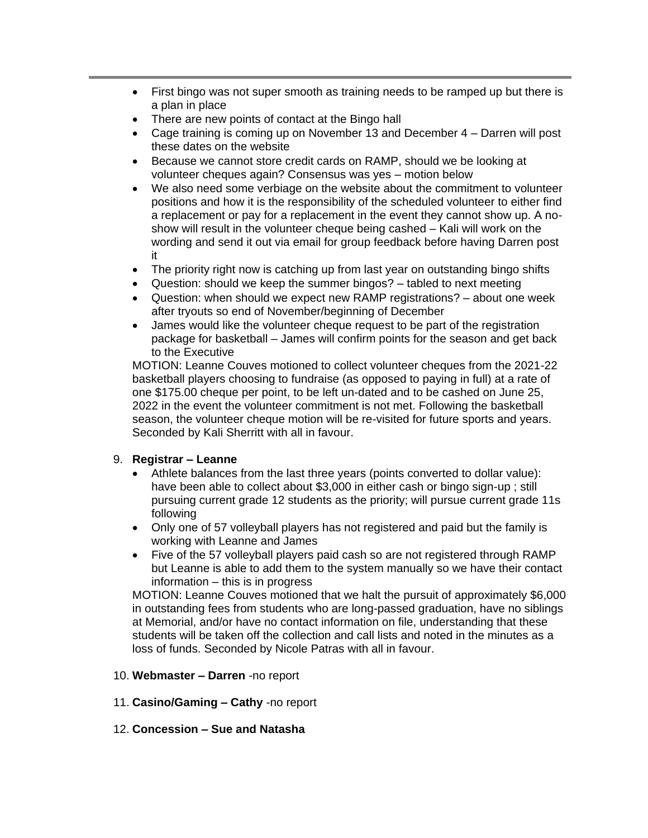- First bingo was not super smooth as training needs to be ramped up but there is a plan in place
- There are new points of contact at the Bingo hall
- Cage training is coming up on November 13 and December 4 Darren will post these dates on the website
- Because we cannot store credit cards on RAMP, should we be looking at volunteer cheques again? Consensus was yes – motion below
- We also need some verbiage on the website about the commitment to volunteer positions and how it is the responsibility of the scheduled volunteer to either find a replacement or pay for a replacement in the event they cannot show up. A noshow will result in the volunteer cheque being cashed – Kali will work on the wording and send it out via email for group feedback before having Darren post it
- The priority right now is catching up from last year on outstanding bingo shifts
- Question: should we keep the summer bingos? tabled to next meeting
- Question: when should we expect new RAMP registrations? about one week after tryouts so end of November/beginning of December
- James would like the volunteer cheque request to be part of the registration package for basketball – James will confirm points for the season and get back to the Executive

MOTION: Leanne Couves motioned to collect volunteer cheques from the 2021-22 basketball players choosing to fundraise (as opposed to paying in full) at a rate of one \$175.00 cheque per point, to be left un-dated and to be cashed on June 25, 2022 in the event the volunteer commitment is not met. Following the basketball season, the volunteer cheque motion will be re-visited for future sports and years. Seconded by Kali Sherritt with all in favour.

### 9. **Registrar – Leanne**

- Athlete balances from the last three years (points converted to dollar value): have been able to collect about \$3,000 in either cash or bingo sign-up ; still pursuing current grade 12 students as the priority; will pursue current grade 11s following
- Only one of 57 volleyball players has not registered and paid but the family is working with Leanne and James
- Five of the 57 volleyball players paid cash so are not registered through RAMP but Leanne is able to add them to the system manually so we have their contact information – this is in progress

MOTION: Leanne Couves motioned that we halt the pursuit of approximately \$6,000 in outstanding fees from students who are long-passed graduation, have no siblings at Memorial, and/or have no contact information on file, understanding that these students will be taken off the collection and call lists and noted in the minutes as a loss of funds. Seconded by Nicole Patras with all in favour.

- 10. **Webmaster – Darren** -no report
- 11. **Casino/Gaming – Cathy** -no report
- 12. **Concession – Sue and Natasha**